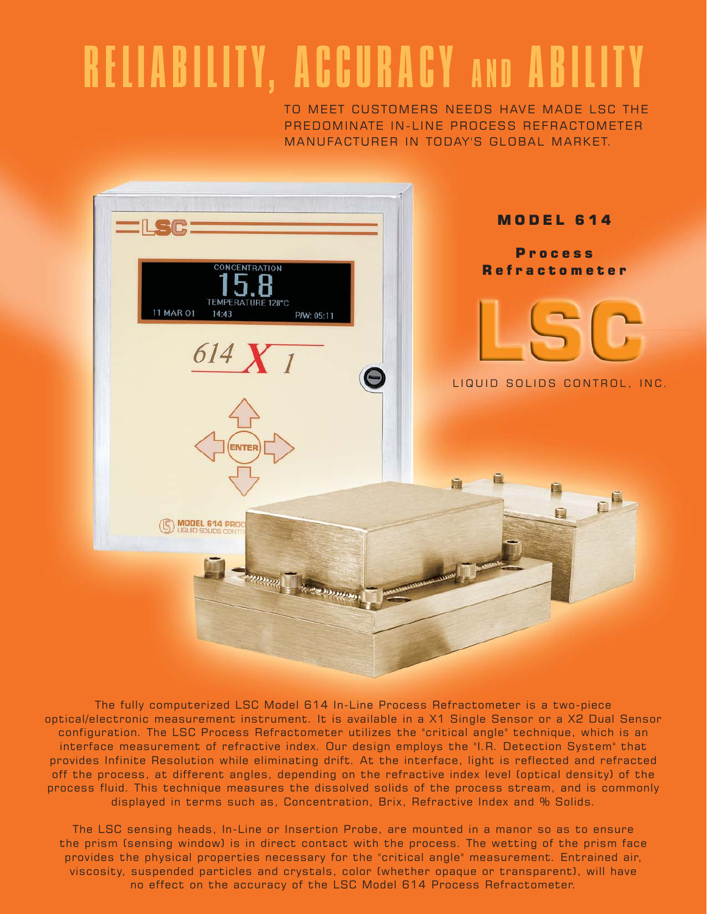## RELIABILITY, ACCURACY AND ABILITY

TO MEET CUSTOMERS NEEDS HAVE MADE LSC THE PREDOMINATE IN-LINE PROCESS REFRACTOMETER MANUFACTURER IN TODAY'S GLOBAL MARKET.



The fully computerized LSC Model 614 In-Line Process Refractometer is a two-piece optical/electronic measurement instrument. It is available in a X1 Single Sensor or a X2 Dual Sensor configuration. The LSC Process Refractometer utilizes the "critical angle" technique, which is an interface measurement of refractive index. Our design employs the "I.R. Detection System" that provides Infinite Resolution while eliminating drift. At the interface, light is reflected and refracted off the process, at different angles, depending on the refractive index level (optical density) of the process fluid. This technique measures the dissolved solids of the process stream, and is commonly displayed in terms such as, Concentration, Brix, Refractive Index and % Solids.

The LSC sensing heads, In-Line or Insertion Probe, are mounted in a manor so as to ensure the prism (sensing window) is in direct contact with the process. The wetting of the prism face provides the physical properties necessary for the "critical angle" measurement. Entrained air, viscosity, suspended particles and crystals, color (whether opaque or transparent), will have no effect on the accuracy of the LSC Model 614 Process Refractometer.